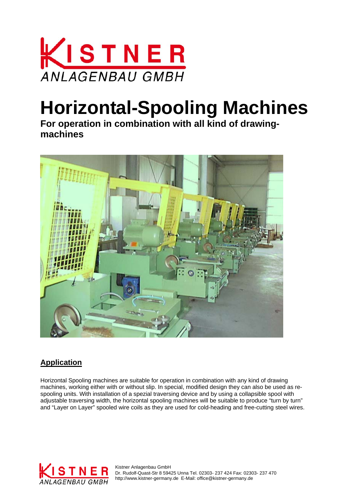

# **Horizontal-Spooling Machines**

**For operation in combination with all kind of drawingmachines** 



# **Application**

Horizontal Spooling machines are suitable for operation in combination with any kind of drawing machines, working either with or without slip. In special, modified design they can also be used as respooling units. With installation of a spezial traversing device and by using a collapsible spool with adjustable traversing width, the horizontal spooling machines will be suitable to produce "turn by turn" and "Layer on Layer" spooled wire coils as they are used for cold-heading and free-cutting steel wires.



Kistner Anlagenbau GmbH Dr. Rudolf-Quast-Str 8 59425 Unna Tel. 02303- 237 424 Fax: 02303- 237 470 http://www.kistner-germany.de E-Mail: office@kistner-germany.de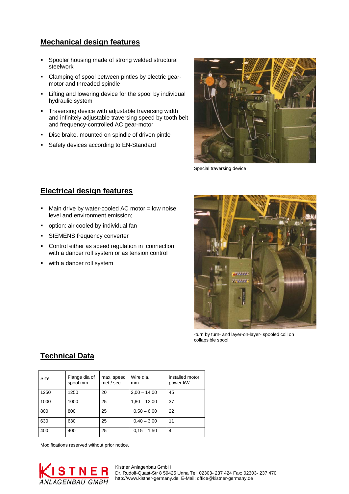#### **Mechanical design features**

- **Spooler housing made of strong welded structural** steelwork
- Clamping of spool between pintles by electric gearmotor and threaded spindle
- **E** Lifting and lowering device for the spool by individual hydraulic system
- **Traversing device with adjustable traversing width** and infinitely adjustable traversing speed by tooth belt and frequency-controlled AC gear-motor
- **-** Disc brake, mounted on spindle of driven pintle
- **Safety devices according to EN-Standard**



Special traversing device

## **Electrical design features**

- Main drive by water-cooled AC motor = low noise level and environment emission;
- option: air cooled by individual fan
- **SIEMENS frequency converter**
- **•** Control either as speed regulation in connection with a dancer roll system or as tension control
- with a dancer roll system



-turn by turn- and layer-on-layer- spooled coil on collapsible spool

## **Technical Data**

| Size | Flange dia of<br>spool mm | max. speed<br>met / sec. | Wire dia.<br>mm | installed motor<br>power kW |
|------|---------------------------|--------------------------|-----------------|-----------------------------|
| 1250 | 1250                      | 20                       | $2,00 - 14,00$  | 45                          |
| 1000 | 1000                      | 25                       | $1,80 - 12,00$  | 37                          |
| 800  | 800                       | 25                       | $0.50 - 6.00$   | 22                          |
| 630  | 630                       | 25                       | $0,40 - 3,00$   | 11                          |
| 400  | 400                       | 25                       | $0,15 - 1,50$   | $\overline{4}$              |

Modifications reserved without prior notice.